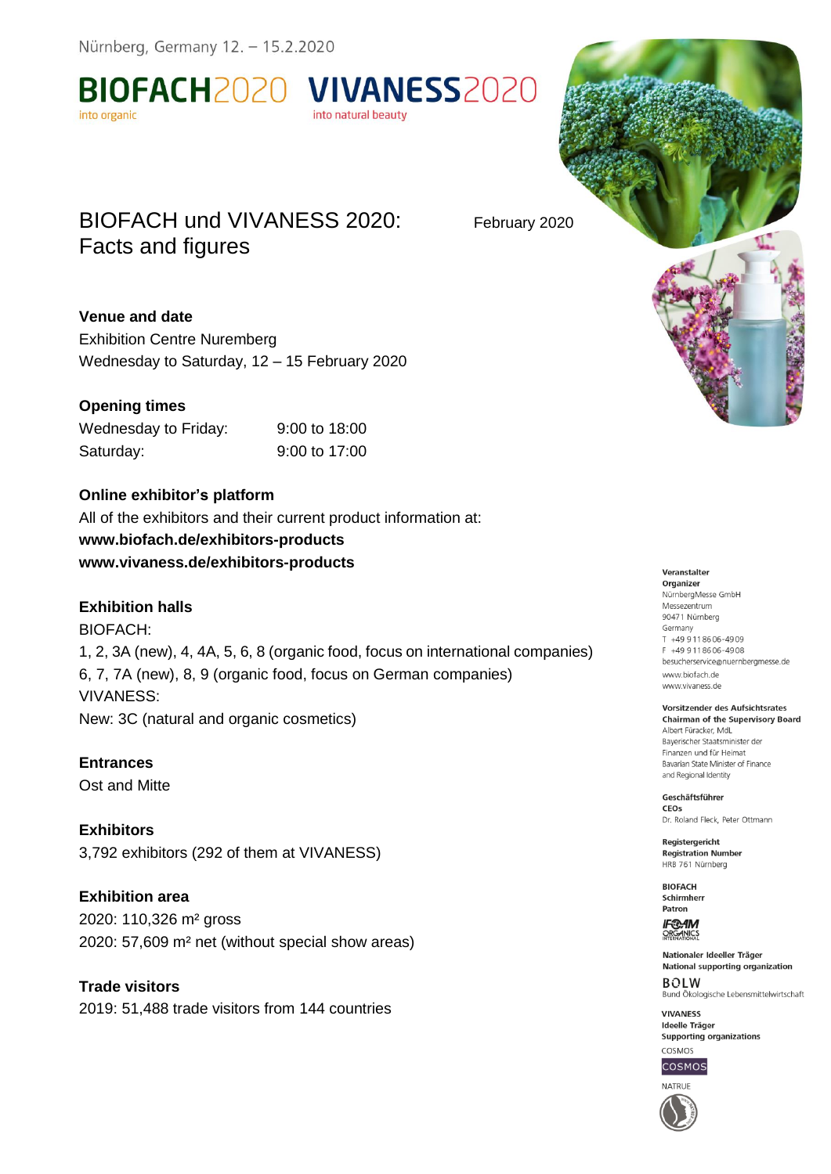Nürnberg, Germany 12. - 15.2.2020

BIOFACH2020 VIVANESS2020 into organic

# BIOFACH und VIVANESS 2020: February 2020 Facts and figures

# **Venue and date**

Exhibition Centre Nuremberg Wednesday to Saturday, 12 – 15 February 2020

# **Opening times**

| Wednesday to Friday: | 9:00 to 18:00 |
|----------------------|---------------|
| Saturday:            | 9:00 to 17:00 |

### **Online exhibitor's platform**

All of the exhibitors and their current product information at: **www.biofach.de/exhibitors-products www.vivaness.de/exhibitors-products**

# **Exhibition halls**

BIOFACH: 1, 2, 3A (new), 4, 4A, 5, 6, 8 (organic food, focus on international companies) 6, 7, 7A (new), 8, 9 (organic food, focus on German companies) VIVANESS: New: 3C (natural and organic cosmetics)

into natural beauty

**Entrances** Ost and Mitte

**Exhibitors** 3,792 exhibitors (292 of them at VIVANESS)

**Exhibition area** 2020: 110,326 m² gross 2020: 57,609 m² net (without special show areas)

**Trade visitors** 2019: 51,488 trade visitors from 144 countries

#### Veranstalter

Organizer NürnbergMesse GmbH Messezentrum 90471 Nürnberg Germany T +49 9118606-4909  $F +499118606 - 4908$ besucherservice@nuernbergmesse.de www.biofach.de www.vivaness.de

Vorsitzender des Aufsichtsrates **Chairman of the Supervisory Board** 

Albert Füracker, MdL Baverischer Staatsminister der Finanzen und für Heimat Bayarian State Minister of Finance and Regional Identity

Geschäftsführer CEOS Dr. Roland Fleck, Peter Ottmann

Registergericht **Registration Number** HRB 761 Nürnberg

**BIOFACH** Schirmherr Patron

**IF®AM** ORGANICS

Nationaler Ideeller Träger National supporting organization **BOLW** Bund Ökologische Lebensmittelwirtschaft

**VIVANESS Ideelle Träger** Supporting organizations COSMOS